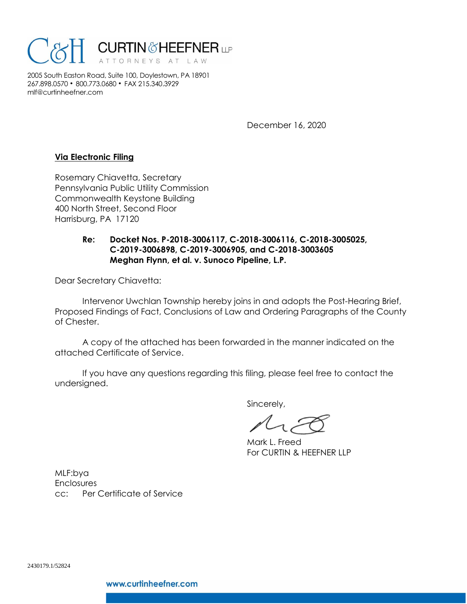

2005 South Easton Road, Suite 100, Doylestown, PA 18901 267.898.0570 • 800.773.0680 • FAX 215.340.3929 mlf@curtinheefner.com

December 16, 2020

## **Via Electronic Filing**

Rosemary Chiavetta, Secretary Pennsylvania Public Utility Commission Commonwealth Keystone Building 400 North Street, Second Floor Harrisburg, PA 17120

## **Re: Docket Nos. P-2018-3006117, C-2018-3006116, C-2018-3005025, C-2019-3006898, C-2019-3006905, and C-2018-3003605 Meghan Flynn, et al. v. Sunoco Pipeline, L.P.**

Dear Secretary Chiavetta:

Intervenor Uwchlan Township hereby joins in and adopts the Post-Hearing Brief, Proposed Findings of Fact, Conclusions of Law and Ordering Paragraphs of the County of Chester.

A copy of the attached has been forwarded in the manner indicated on the attached Certificate of Service.

If you have any questions regarding this filing, please feel free to contact the undersigned.

Sincerely,

Mark L. Freed For CURTIN & HEEFNER LLP

MLF:bya **Enclosures** cc: Per Certificate of Service

2430179.1/52824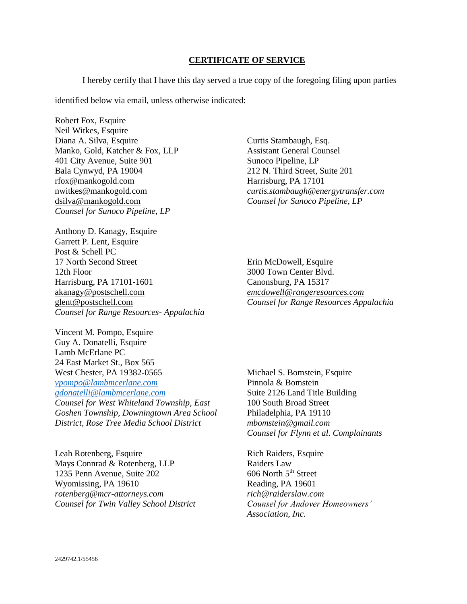## **CERTIFICATE OF SERVICE**

I hereby certify that I have this day served a true copy of the foregoing filing upon parties

identified below via email, unless otherwise indicated:

Robert Fox, Esquire Neil Witkes, Esquire Diana A. Silva, Esquire Manko, Gold, Katcher & Fox, LLP 401 City Avenue, Suite 901 Bala Cynwyd, PA 19004 rfox@mankogold.com nwitkes@mankogold.com dsilva@mankogold.com *Counsel for Sunoco Pipeline, LP*

Anthony D. Kanagy, Esquire Garrett P. Lent, Esquire Post & Schell PC 17 North Second Street 12th Floor Harrisburg, PA 17101-1601 akanagy@postschell.com glent@postschell.com *Counsel for Range Resources- Appalachia* 

Vincent M. Pompo, Esquire Guy A. Donatelli, Esquire Lamb McErlane PC 24 East Market St., Box 565 West Chester, PA 19382-0565 *[vpompo@lambmcerlane.com](mailto:vpompo@lambmcerlane.com) [gdonatelli@lambmcerlane.com](mailto:gdonatelli@lambmcerlane.com) Counsel for West Whiteland Township, East Goshen Township, Downingtown Area School District, Rose Tree Media School District*

Leah Rotenberg, Esquire Mays Connrad & Rotenberg, LLP 1235 Penn Avenue, Suite 202 Wyomissing, PA 19610 *rotenberg@mcr-attorneys.com Counsel for Twin Valley School District* Curtis Stambaugh, Esq. Assistant General Counsel Sunoco Pipeline, LP 212 N. Third Street, Suite 201 Harrisburg, PA 17101 *curtis.stambaugh@energytransfer.com Counsel for Sunoco Pipeline, LP*

Erin McDowell, Esquire 3000 Town Center Blvd. Canonsburg, PA 15317 *emcdowell@rangeresources.com Counsel for Range Resources Appalachia*

Michael S. Bomstein, Esquire Pinnola & Bomstein Suite 2126 Land Title Building 100 South Broad Street Philadelphia, PA 19110 *mbomstein@gmail.com Counsel for Flynn et al. Complainants*

Rich Raiders, Esquire Raiders Law  $606$  North  $5<sup>th</sup>$  Street Reading, PA 19601 *rich@raiderslaw.com Counsel for Andover Homeowners' Association, Inc.*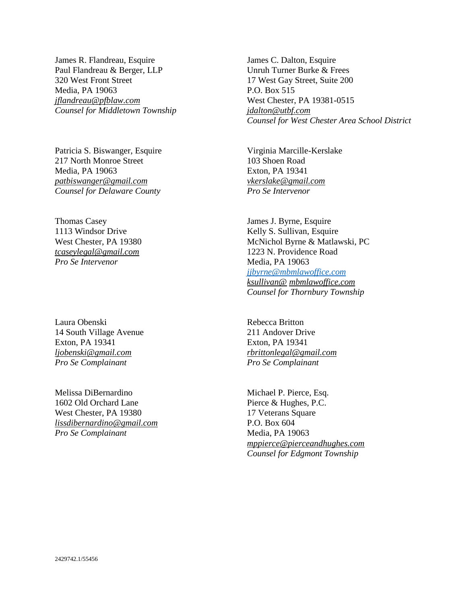James R. Flandreau, Esquire Paul Flandreau & Berger, LLP 320 West Front Street Media, PA 19063 *jflandreau@pfblaw.com Counsel for Middletown Township*

Patricia S. Biswanger, Esquire 217 North Monroe Street Media, PA 19063 *patbiswanger@gmail.com Counsel for Delaware County*

Thomas Casey 1113 Windsor Drive West Chester, PA 19380 *tcaseylegal@gmail.com Pro Se Intervenor*

Laura Obenski 14 South Village Avenue Exton, PA 19341 *ljobenski@gmail.com Pro Se Complainant*

Melissa DiBernardino 1602 Old Orchard Lane West Chester, PA 19380 *lissdibernardino@gmail.com Pro Se Complainant* 

James C. Dalton, Esquire Unruh Turner Burke & Frees 17 West Gay Street, Suite 200 P.O. Box 515 West Chester, PA 19381-0515 *jdalton@utbf.com Counsel for West Chester Area School District*

Virginia Marcille-Kerslake 103 Shoen Road Exton, PA 19341 *vkerslake@gmail.com Pro Se Intervenor*

James J. Byrne, Esquire Kelly S. Sullivan, Esquire McNichol Byrne & Matlawski, PC 1223 N. Providence Road Media, PA 19063 *[jjbyrne@mbmlawoffice.com](mailto:jjbyrne@mbmlawoffice.com) ksullivan@ mbmlawoffice.com Counsel for Thornbury Township*

Rebecca Britton 211 Andover Drive Exton, PA 19341 *rbrittonlegal@gmail.com Pro Se Complainant*

Michael P. Pierce, Esq. Pierce & Hughes, P.C. 17 Veterans Square P.O. Box 604 Media, PA 19063 *mppierce@pierceandhughes.com Counsel for Edgmont Township*